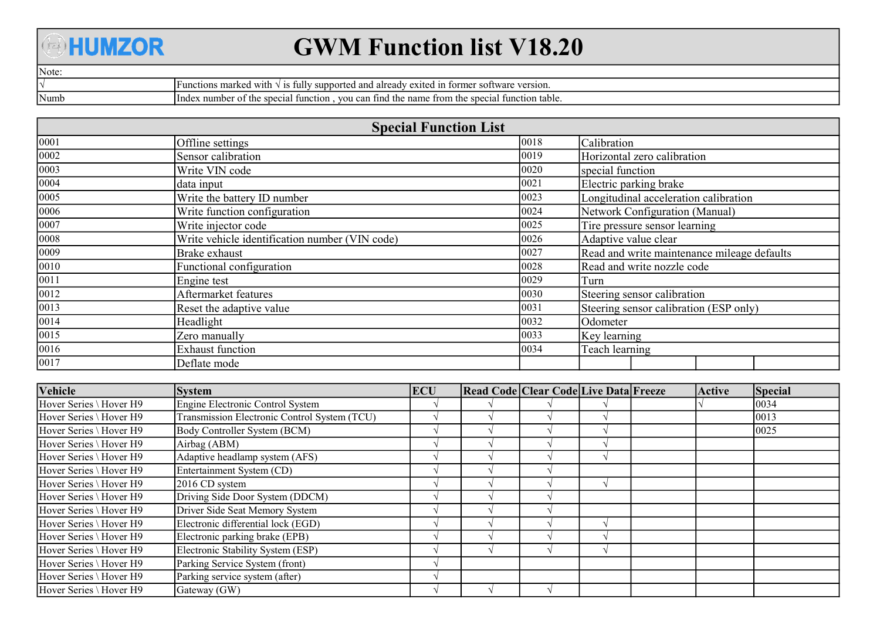## **AHUMZOR**

## GWM Function list V18.20

| Note: |                                                                                                                              |
|-------|------------------------------------------------------------------------------------------------------------------------------|
|       | With<br>exited<br>marked<br>supported and already<br>version.<br>tormer<br>software<br>' <sup>F</sup> unctions<br>- 18 fully |
| Numb  | t can find the name from the special function table.<br>number<br>vou<br>special function<br>Index<br>of the                 |

|                   | <b>Special Function List</b>                   |      |                                             |  |  |  |  |  |  |  |
|-------------------|------------------------------------------------|------|---------------------------------------------|--|--|--|--|--|--|--|
| 0001              | Offline settings                               | 0018 | Calibration                                 |  |  |  |  |  |  |  |
| 0002              | Sensor calibration                             | 0019 | Horizontal zero calibration                 |  |  |  |  |  |  |  |
| $\overline{0003}$ | Write VIN code                                 | 0020 | special function                            |  |  |  |  |  |  |  |
| 0004              | data input                                     | 0021 | Electric parking brake                      |  |  |  |  |  |  |  |
| 0005              | Write the battery ID number                    | 0023 | Longitudinal acceleration calibration       |  |  |  |  |  |  |  |
| 0006              | Write function configuration                   | 0024 | Network Configuration (Manual)              |  |  |  |  |  |  |  |
| 0007              | Write injector code                            | 0025 | Tire pressure sensor learning               |  |  |  |  |  |  |  |
| 0008              | Write vehicle identification number (VIN code) | 0026 | Adaptive value clear                        |  |  |  |  |  |  |  |
| 0009              | Brake exhaust                                  | 0027 | Read and write maintenance mileage defaults |  |  |  |  |  |  |  |
| 0010              | Functional configuration                       | 0028 | Read and write nozzle code                  |  |  |  |  |  |  |  |
| 0011              | Engine test                                    | 0029 | Turn                                        |  |  |  |  |  |  |  |
| $\overline{0012}$ | Aftermarket features                           | 0030 | Steering sensor calibration                 |  |  |  |  |  |  |  |
| 0013              | Reset the adaptive value                       | 0031 | Steering sensor calibration (ESP only)      |  |  |  |  |  |  |  |
| $\overline{0014}$ | Headlight                                      | 0032 | Odometer                                    |  |  |  |  |  |  |  |
| 0015              | Zero manually                                  | 0033 | Key learning                                |  |  |  |  |  |  |  |
| 0016              | <b>Exhaust</b> function                        | 0034 | Teach learning                              |  |  |  |  |  |  |  |
| $\overline{0017}$ | Deflate mode                                   |      |                                             |  |  |  |  |  |  |  |

| Vehicle                 | <b>System</b>                                | <b>ECU</b> | Read Code Clear Code Live Data Freeze |  | Active | <b>Special</b> |
|-------------------------|----------------------------------------------|------------|---------------------------------------|--|--------|----------------|
| Hover Series \ Hover H9 | Engine Electronic Control System             |            |                                       |  |        | 0034           |
| Hover Series \ Hover H9 | Transmission Electronic Control System (TCU) |            |                                       |  |        | 0013           |
| Hover Series \ Hover H9 | Body Controller System (BCM)                 |            |                                       |  |        | 0025           |
| Hover Series \ Hover H9 | Airbag (ABM)                                 |            |                                       |  |        |                |
| Hover Series \ Hover H9 | Adaptive headlamp system (AFS)               |            |                                       |  |        |                |
| Hover Series \ Hover H9 | Entertainment System (CD)                    |            |                                       |  |        |                |
| Hover Series \ Hover H9 | 2016 CD system                               |            |                                       |  |        |                |
| Hover Series \ Hover H9 | Driving Side Door System (DDCM)              |            |                                       |  |        |                |
| Hover Series \ Hover H9 | Driver Side Seat Memory System               |            |                                       |  |        |                |
| Hover Series \ Hover H9 | Electronic differential lock (EGD)           |            |                                       |  |        |                |
| Hover Series \ Hover H9 | Electronic parking brake (EPB)               |            |                                       |  |        |                |
| Hover Series \ Hover H9 | Electronic Stability System (ESP)            |            |                                       |  |        |                |
| Hover Series \ Hover H9 | Parking Service System (front)               |            |                                       |  |        |                |
| Hover Series \ Hover H9 | Parking service system (after)               |            |                                       |  |        |                |
| Hover Series \ Hover H9 | Gateway (GW)                                 |            |                                       |  |        |                |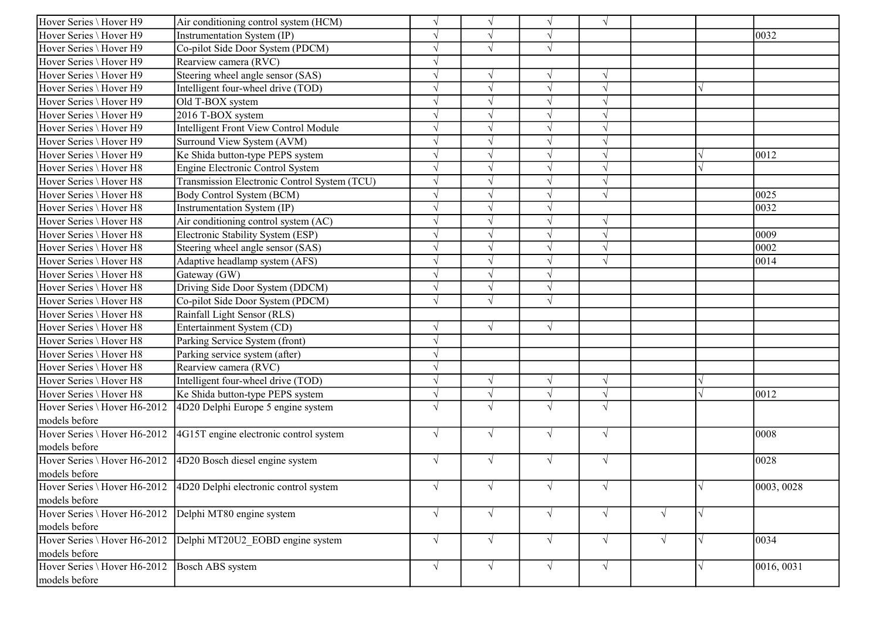| Hover Series \ Hover H9      | Air conditioning control system (HCM)                         | $\sqrt{ }$ | $\sqrt{ }$ | $\sqrt{ }$ | $\sqrt{ }$ |            |           |            |
|------------------------------|---------------------------------------------------------------|------------|------------|------------|------------|------------|-----------|------------|
| Hover Series \ Hover H9      | Instrumentation System (IP)                                   | $\sqrt{ }$ |            |            |            |            |           | 0032       |
| Hover Series \ Hover H9      | Co-pilot Side Door System (PDCM)                              | V          | $\sqrt{}$  | $\sqrt{ }$ |            |            |           |            |
| Hover Series \ Hover H9      | Rearview camera (RVC)                                         | $\sqrt{ }$ |            |            |            |            |           |            |
| Hover Series \ Hover H9      | Steering wheel angle sensor (SAS)                             | $\sqrt{}$  | $\sqrt{}$  |            |            |            |           |            |
| Hover Series \Hover H9       | Intelligent four-wheel drive (TOD)                            | $\sqrt{}$  | $\sqrt{}$  |            |            |            |           |            |
| Hover Series \ Hover H9      | Old T-BOX system                                              | $\sqrt{}$  | $\sqrt{ }$ |            |            |            |           |            |
| Hover Series \ Hover H9      | 2016 T-BOX system                                             | $\sqrt{ }$ | $\sqrt{ }$ | $\sqrt{ }$ |            |            |           |            |
| Hover Series \ Hover H9      | Intelligent Front View Control Module                         | $\sqrt{ }$ | $\sqrt{ }$ | $\sqrt{ }$ |            |            |           |            |
| Hover Series \ Hover H9      | Surround View System (AVM)                                    | $\sqrt{}$  | $\sqrt{2}$ |            |            |            |           |            |
| Hover Series \ Hover H9      | Ke Shida button-type PEPS system                              | V          | $\sqrt{}$  |            |            |            |           | 0012       |
| Hover Series \ Hover H8      | Engine Electronic Control System                              | $\sqrt{ }$ | V          | V          |            |            |           |            |
| Hover Series \ Hover H8      | Transmission Electronic Control System (TCU)                  | $\sqrt{ }$ | $\sqrt{}$  | V          |            |            |           |            |
| Hover Series \ Hover H8      | Body Control System (BCM)                                     | $\sqrt{}$  |            |            |            |            |           | 0025       |
| Hover Series \ Hover H8      | Instrumentation System (IP)                                   | $\sqrt{ }$ | $\sqrt{}$  |            |            |            |           | 0032       |
| Hover Series \ Hover H8      | Air conditioning control system (AC)                          | $\sqrt{ }$ | V          |            | $\sqrt{ }$ |            |           |            |
| Hover Series \ Hover H8      | Electronic Stability System (ESP)                             | $\sqrt{ }$ | $\sqrt{ }$ |            | $\sqrt{ }$ |            |           | 0009       |
| Hover Series \ Hover H8      | Steering wheel angle sensor (SAS)                             | $\sqrt{ }$ |            |            |            |            |           | 0002       |
| Hover Series \ Hover H8      | Adaptive headlamp system (AFS)                                | $\sqrt{ }$ |            |            | $\sqrt{ }$ |            |           | 0014       |
| Hover Series \ Hover H8      | Gateway (GW)                                                  | $\sqrt{ }$ |            |            |            |            |           |            |
| Hover Series \ Hover H8      | Driving Side Door System (DDCM)                               | $\sqrt{ }$ | $\sqrt{ }$ | V          |            |            |           |            |
| Hover Series \ Hover H8      | Co-pilot Side Door System (PDCM)                              | $\sqrt{}$  | $\sqrt{ }$ |            |            |            |           |            |
| Hover Series \ Hover H8      | Rainfall Light Sensor (RLS)                                   |            |            |            |            |            |           |            |
| Hover Series \ Hover H8      | Entertainment System (CD)                                     | $\sqrt{ }$ | V          | $\sqrt{ }$ |            |            |           |            |
| Hover Series \ Hover H8      | Parking Service System (front)                                | $\sqrt{ }$ |            |            |            |            |           |            |
| Hover Series \ Hover H8      | Parking service system (after)                                | $\sqrt{ }$ |            |            |            |            |           |            |
| Hover Series \ Hover H8      | Rearview camera (RVC)                                         | $\sqrt{ }$ |            |            |            |            |           |            |
| Hover Series \ Hover H8      | Intelligent four-wheel drive (TOD)                            | $\sqrt{ }$ | $\sqrt{ }$ | $\sqrt{ }$ | $\sqrt{ }$ |            |           |            |
| Hover Series \ Hover H8      | Ke Shida button-type PEPS system                              | $\sqrt{}$  | $\sqrt{}$  | $\sqrt{ }$ | $\sqrt{ }$ |            |           | 0012       |
| Hover Series \ Hover H6-2012 | 4D20 Delphi Europe 5 engine system                            | $\sqrt{}$  | $\sqrt{ }$ |            |            |            |           |            |
| models before                |                                                               |            |            |            |            |            |           |            |
| Hover Series \ Hover H6-2012 | 4G15T engine electronic control system                        | $\sqrt{ }$ | $\sqrt{ }$ | $\sqrt{ }$ | $\sqrt{ }$ |            |           | 0008       |
| models before                |                                                               |            |            |            |            |            |           |            |
| Hover Series \ Hover H6-2012 | 4D20 Bosch diesel engine system                               | $\sqrt{ }$ | $\sqrt{}$  | $\sqrt{}$  | $\sqrt{ }$ |            |           | 0028       |
| models before                |                                                               |            |            |            |            |            |           |            |
| Hover Series \ Hover H6-2012 | 4D20 Delphi electronic control system                         | $\sqrt{ }$ | $\sqrt{ }$ | $\sqrt{ }$ | $\sqrt{ }$ |            |           | 0003, 0028 |
| models before                |                                                               |            |            |            |            |            |           |            |
| Hover Series \ Hover H6-2012 | Delphi MT80 engine system                                     | $\sqrt{ }$ | $\sqrt{ }$ | $\sqrt{ }$ | $\sqrt{ }$ | $\sqrt{}$  |           |            |
| models before                |                                                               |            |            |            |            |            |           |            |
|                              | Hover Series \Hover H6-2012  Delphi MT20U2 EOBD engine system | $\sqrt{ }$ | $\sqrt{ }$ | $\sqrt{ }$ | $\sqrt{ }$ | $\sqrt{ }$ |           | 0034       |
| models before                |                                                               |            |            |            |            |            |           |            |
| Hover Series \ Hover H6-2012 | Bosch ABS system                                              | $\sqrt{ }$ | $\sqrt{}$  | $\sqrt{ }$ | $\sqrt{ }$ |            | $\sqrt{}$ | 0016, 0031 |
| models before                |                                                               |            |            |            |            |            |           |            |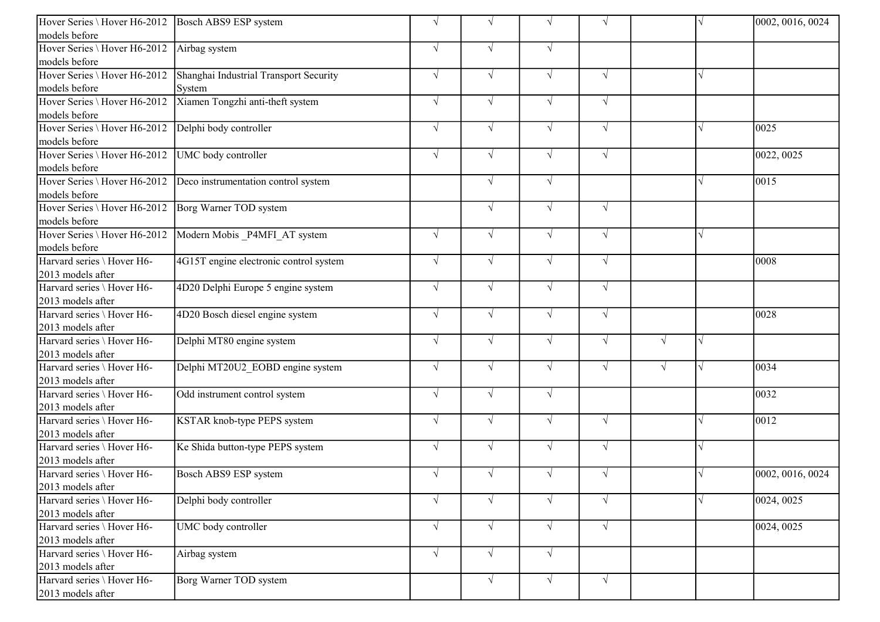| Hover Series \ Hover H6-2012   Bosch ABS9 ESP system |                                        | $\sqrt{ }$ | V          |            | V          |            | 0002, 0016, 0024 |
|------------------------------------------------------|----------------------------------------|------------|------------|------------|------------|------------|------------------|
| models before                                        |                                        |            |            |            |            |            |                  |
| Hover Series \ Hover H6-2012                         | Airbag system                          | $\sqrt{ }$ | $\sqrt{ }$ | $\sqrt{ }$ |            |            |                  |
| models before                                        |                                        |            |            |            |            |            |                  |
| Hover Series \ Hover H6-2012                         | Shanghai Industrial Transport Security | $\sqrt{ }$ | $\sqrt{ }$ | V          | $\sqrt{ }$ |            |                  |
| models before                                        | System                                 |            |            |            |            |            |                  |
| Hover Series \ Hover H6-2012                         | Xiamen Tongzhi anti-theft system       | $\sqrt{ }$ | $\sqrt{ }$ | $\sqrt{ }$ | $\sqrt{ }$ |            |                  |
| models before                                        |                                        |            |            |            |            |            |                  |
| Hover Series \ Hover H6-2012                         | Delphi body controller                 | $\sqrt{ }$ | $\sqrt{ }$ | $\sqrt{ }$ | $\sqrt{}$  |            | 0025             |
| models before                                        |                                        |            |            |            |            |            |                  |
| Hover Series \ Hover H6-2012                         | UMC body controller                    | $\sqrt{ }$ | $\sqrt{ }$ | $\sqrt{ }$ | $\sqrt{ }$ |            | 0022, 0025       |
| models before                                        |                                        |            |            |            |            |            |                  |
| Hover Series \ Hover H6-2012                         | Deco instrumentation control system    |            | $\sqrt{ }$ | $\sqrt{ }$ |            |            | 0015             |
| models before                                        |                                        |            |            |            |            |            |                  |
| Hover Series \ Hover H6-2012                         | Borg Warner TOD system                 |            | $\sqrt{ }$ | $\sqrt{ }$ | $\sqrt{ }$ |            |                  |
| models before                                        |                                        |            |            |            |            |            |                  |
| Hover Series \ Hover H6-2012                         | Modern Mobis P4MFI AT system           | $\sqrt{ }$ | $\sqrt{ }$ | $\sqrt{ }$ | $\sqrt{ }$ |            |                  |
| models before                                        |                                        |            |            |            |            |            |                  |
| Harvard series \ Hover H6-                           | 4G15T engine electronic control system | $\sqrt{ }$ | $\sqrt{ }$ | $\sqrt{ }$ | $\sqrt{ }$ |            | 0008             |
| 2013 models after                                    |                                        |            |            |            |            |            |                  |
| Harvard series \ Hover H6-                           | 4D20 Delphi Europe 5 engine system     | $\sqrt{ }$ | $\sqrt{ }$ | $\sqrt{ }$ | $\sqrt{}$  |            |                  |
| 2013 models after                                    |                                        |            |            |            |            |            |                  |
| Harvard series \ Hover H6-                           | 4D20 Bosch diesel engine system        | $\sqrt{ }$ | $\sqrt{ }$ | $\sqrt{ }$ | $\sqrt{ }$ |            | 0028             |
| 2013 models after                                    |                                        |            |            |            |            |            |                  |
| Harvard series \ Hover H6-                           | Delphi MT80 engine system              | $\sqrt{ }$ | $\sqrt{}$  | $\sqrt{ }$ | $\sqrt{}$  | $\sqrt{ }$ |                  |
| 2013 models after                                    |                                        |            |            |            |            |            |                  |
| Harvard series \ Hover H6-                           | Delphi MT20U2_EOBD engine system       | $\sqrt{ }$ | $\sqrt{ }$ | $\sqrt{ }$ | $\sqrt{ }$ | $\sqrt{ }$ | 0034             |
| 2013 models after                                    |                                        |            |            |            |            |            |                  |
| Harvard series \ Hover H6-                           | Odd instrument control system          | $\sqrt{}$  | $\sqrt{}$  | $\sqrt{ }$ |            |            | 0032             |
| 2013 models after                                    |                                        |            |            |            |            |            |                  |
| Harvard series \ Hover H6-                           | KSTAR knob-type PEPS system            | $\sqrt{ }$ | $\sqrt{ }$ | $\sqrt{ }$ | $\sqrt{ }$ |            | 0012             |
| 2013 models after                                    |                                        |            |            |            |            |            |                  |
| Harvard series \ Hover H6-                           | Ke Shida button-type PEPS system       | $\sqrt{ }$ | $\sqrt{}$  | $\sqrt{ }$ | $\sqrt{}$  |            |                  |
| 2013 models after                                    |                                        |            |            |            |            |            |                  |
| Harvard series \ Hover H6-                           | Bosch ABS9 ESP system                  | $\sqrt{}$  | V          | V          | $\sqrt{}$  |            | 0002, 0016, 0024 |
| 2013 models after                                    |                                        |            |            |            |            |            |                  |
| Harvard series \ Hover H6-                           | Delphi body controller                 | $\sqrt{ }$ | $\sqrt{}$  | $\sqrt{ }$ | √          |            | 0024, 0025       |
| 2013 models after                                    |                                        |            |            |            |            |            |                  |
| Harvard series \ Hover H6-                           | UMC body controller                    | $\sqrt{ }$ | $\sqrt{ }$ | $\sqrt{ }$ | $\sqrt{ }$ |            | 0024, 0025       |
| 2013 models after                                    |                                        |            |            |            |            |            |                  |
| Harvard series \ Hover H6-                           | Airbag system                          | $\sqrt{ }$ | $\sqrt{}$  | $\sqrt{ }$ |            |            |                  |
| 2013 models after                                    |                                        |            |            |            |            |            |                  |
| Harvard series \ Hover H6-                           | Borg Warner TOD system                 |            | $\sqrt{ }$ | $\sqrt{ }$ | $\sqrt{ }$ |            |                  |
| 2013 models after                                    |                                        |            |            |            |            |            |                  |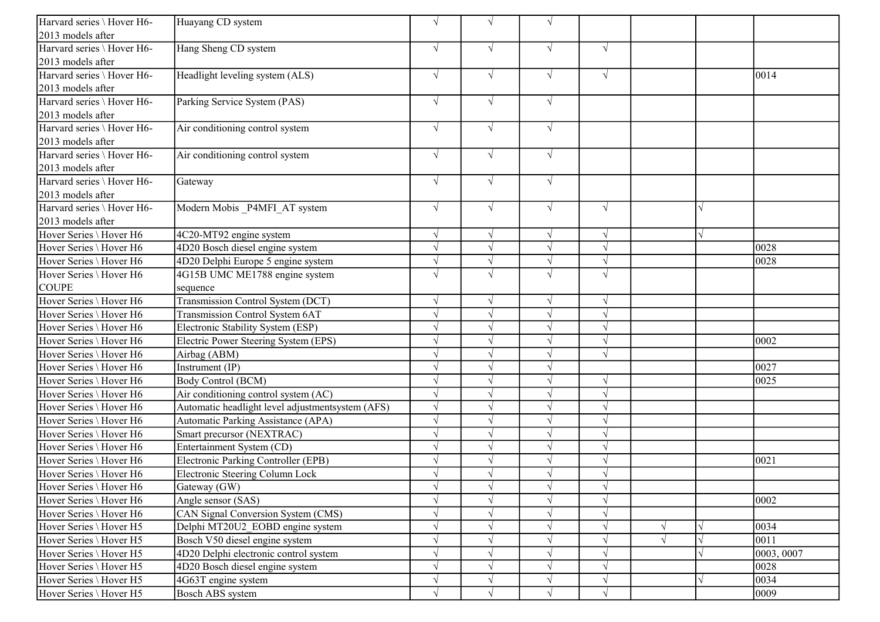| Harvard series \ Hover H6- | Huayang CD system                                | $\sqrt{ }$ | $\sqrt{}$  | $\sqrt{ }$ |            |            |            |
|----------------------------|--------------------------------------------------|------------|------------|------------|------------|------------|------------|
| 2013 models after          |                                                  |            |            |            |            |            |            |
| Harvard series \ Hover H6- | Hang Sheng CD system                             | $\sqrt{ }$ | $\sqrt{ }$ | $\sqrt{ }$ | $\sqrt{ }$ |            |            |
| 2013 models after          |                                                  |            |            |            |            |            |            |
| Harvard series \ Hover H6- | Headlight leveling system (ALS)                  | $\sqrt{ }$ | $\sqrt{ }$ | $\sqrt{ }$ | $\sqrt{ }$ |            | 0014       |
| 2013 models after          |                                                  |            |            |            |            |            |            |
| Harvard series \ Hover H6- | Parking Service System (PAS)                     | $\sqrt{ }$ | $\sqrt{ }$ | $\sqrt{ }$ |            |            |            |
| 2013 models after          |                                                  |            |            |            |            |            |            |
| Harvard series \ Hover H6- | Air conditioning control system                  | $\sqrt{ }$ | $\sqrt{}$  | $\sqrt{ }$ |            |            |            |
| 2013 models after          |                                                  |            |            |            |            |            |            |
| Harvard series \ Hover H6- | Air conditioning control system                  | $\sqrt{ }$ | $\sqrt{ }$ | $\sqrt{ }$ |            |            |            |
| 2013 models after          |                                                  |            |            |            |            |            |            |
| Harvard series \ Hover H6- | Gateway                                          | $\sqrt{ }$ | $\sqrt{ }$ | $\sqrt{ }$ |            |            |            |
| 2013 models after          |                                                  |            |            |            |            |            |            |
| Harvard series \ Hover H6- | Modern Mobis _P4MFI_AT system                    | $\sqrt{ }$ | $\sqrt{ }$ | $\sqrt{ }$ | $\sqrt{ }$ |            |            |
| 2013 models after          |                                                  |            |            |            |            |            |            |
| Hover Series \ Hover H6    | 4C20-MT92 engine system                          | $\sqrt{ }$ | $\sqrt{}$  | $\sqrt{ }$ |            |            |            |
| Hover Series \ Hover H6    | 4D20 Bosch diesel engine system                  | $\sqrt{}$  | $\sqrt{}$  | $\sqrt{ }$ |            |            | 0028       |
| Hover Series \ Hover H6    | 4D20 Delphi Europe 5 engine system               | $\sqrt{ }$ | $\sqrt{ }$ | $\sqrt{ }$ | $\sqrt{ }$ |            | 0028       |
| Hover Series \ Hover H6    | 4G15B UMC ME1788 engine system                   | $\sqrt{ }$ | $\sqrt{ }$ | $\sqrt{ }$ | $\sqrt{ }$ |            |            |
| <b>COUPE</b>               | sequence                                         |            |            |            |            |            |            |
| Hover Series \ Hover H6    | Transmission Control System (DCT)                | $\sqrt{ }$ | $\sqrt{ }$ | $\sqrt{ }$ |            |            |            |
| Hover Series \ Hover H6    | Transmission Control System 6AT                  | $\sqrt{ }$ | $\sqrt{ }$ | $\sqrt{ }$ | $\sqrt{ }$ |            |            |
| Hover Series \ Hover H6    | Electronic Stability System (ESP)                | $\sqrt{ }$ | $\sqrt{ }$ | $\sqrt{ }$ |            |            |            |
| Hover Series \ Hover H6    | Electric Power Steering System (EPS)             | $\sqrt{ }$ | $\sqrt{ }$ | $\sqrt{ }$ |            |            | 0002       |
| Hover Series \ Hover H6    | Airbag (ABM)                                     | $\sqrt{ }$ | $\sqrt{ }$ | $\sqrt{ }$ |            |            |            |
| Hover Series \ Hover H6    | Instrument (IP)                                  | $\sqrt{ }$ | $\sqrt{ }$ | $\sqrt{ }$ |            |            | 0027       |
| Hover Series \ Hover H6    | Body Control (BCM)                               | $\sqrt{ }$ | $\sqrt{ }$ | $\sqrt{ }$ | $\sqrt{ }$ |            | 0025       |
| Hover Series \ Hover H6    | Air conditioning control system (AC)             | $\sqrt{ }$ | $\sqrt{}$  | $\sqrt{ }$ |            |            |            |
| Hover Series \ Hover H6    | Automatic headlight level adjustmentsystem (AFS) | $\sqrt{ }$ | $\sqrt{}$  | $\sqrt{ }$ |            |            |            |
| Hover Series \ Hover H6    | Automatic Parking Assistance (APA)               | $\sqrt{}$  | $\sqrt{ }$ |            |            |            |            |
| Hover Series \ Hover H6    | Smart precursor (NEXTRAC)                        | $\sqrt{ }$ | $\sqrt{ }$ | $\sqrt{ }$ |            |            |            |
| Hover Series \ Hover H6    | Entertainment System (CD)                        | $\sqrt{}$  | $\sqrt{ }$ | $\sqrt{ }$ |            |            |            |
| Hover Series \ Hover H6    | Electronic Parking Controller (EPB)              | $\sqrt{ }$ | $\sqrt{}$  | $\sqrt{ }$ |            |            | 0021       |
| Hover Series \ Hover H6    | Electronic Steering Column Lock                  | $\sqrt{}$  | $\sqrt{}$  | $\sqrt{ }$ |            |            |            |
| Hover Series \ Hover H6    | Gateway (GW)                                     | $\sqrt{ }$ | $\sqrt{ }$ | $\sqrt{ }$ | $\sqrt{ }$ |            |            |
| Hover Series \ Hover H6    | Angle sensor (SAS)                               | $\sqrt{}$  | $\sqrt{}$  |            |            |            | 0002       |
| Hover Series \ Hover H6    | CAN Signal Conversion System (CMS)               |            | $\sqrt{}$  |            |            |            |            |
| Hover Series \ Hover H5    | Delphi MT20U2 EOBD engine system                 | $\sqrt{}$  | $\sqrt{ }$ |            |            | $\sqrt{ }$ | 0034       |
| Hover Series \ Hover H5    | Bosch V50 diesel engine system                   | $\sqrt{ }$ | $\sqrt{}$  |            |            | J          | 0011       |
| Hover Series \ Hover H5    | 4D20 Delphi electronic control system            | $\sqrt{ }$ | $\sqrt{ }$ |            |            |            | 0003, 0007 |
| Hover Series \ Hover H5    | 4D20 Bosch diesel engine system                  |            | $\sqrt{}$  |            |            |            | 0028       |
| Hover Series \ Hover H5    | 4G63T engine system                              | $\sqrt{}$  | $\sqrt{}$  | $\sqrt{ }$ |            |            | 0034       |
| Hover Series \ Hover H5    | Bosch ABS system                                 | $\sqrt{ }$ | $\sqrt{ }$ | V          | V          |            | 0009       |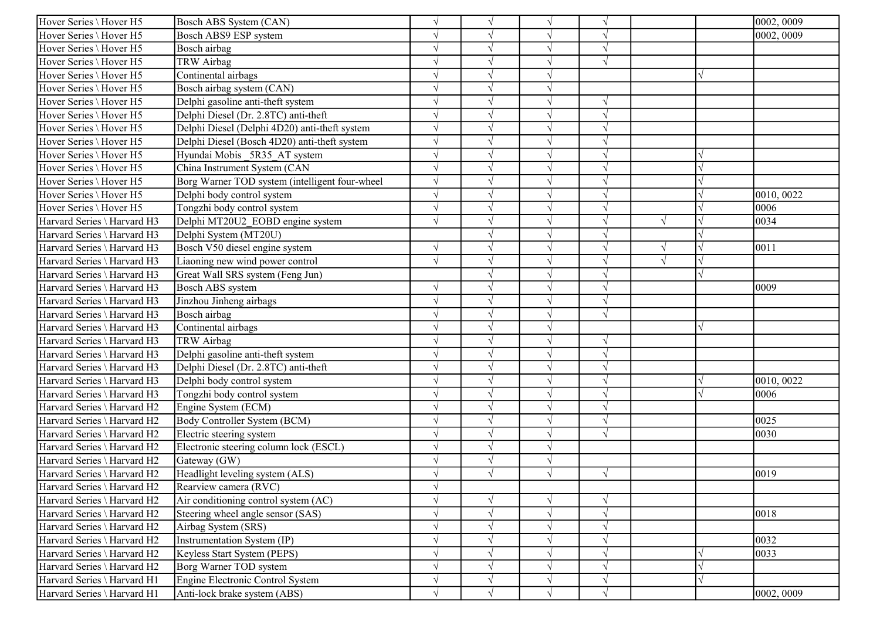| Hover Series \ Hover H5     | Bosch ABS System (CAN)                         | $\sqrt{}$  | $\sqrt{ }$ | $\sqrt{}$     |            |            | 0002, 0009 |
|-----------------------------|------------------------------------------------|------------|------------|---------------|------------|------------|------------|
| Hover Series \ Hover H5     | Bosch ABS9 ESP system                          | $\sqrt{ }$ | $\sqrt{}$  |               |            |            | 0002, 0009 |
| Hover Series \Hover H5      | Bosch airbag                                   | $\sqrt{ }$ | $\sqrt{}$  | $\sqrt{ }$    |            |            |            |
| Hover Series \ Hover H5     | TRW Airbag                                     |            | $\sqrt{}$  |               |            |            |            |
| Hover Series \ Hover H5     | Continental airbags                            | $\sqrt{ }$ | $\sqrt{ }$ |               |            |            |            |
| Hover Series \ Hover H5     | Bosch airbag system (CAN)                      | $\sqrt{ }$ | $\sqrt{ }$ | $\mathcal{L}$ |            |            |            |
| Hover Series \ Hover H5     | Delphi gasoline anti-theft system              | $\sqrt{ }$ | $\sqrt{ }$ | $\sqrt{ }$    |            |            |            |
| Hover Series \ Hover H5     | Delphi Diesel (Dr. 2.8TC) anti-theft           | $\sqrt{ }$ | $\sqrt{}$  | $\sqrt{ }$    |            |            |            |
| Hover Series \ Hover H5     | Delphi Diesel (Delphi 4D20) anti-theft system  | $\sqrt{ }$ | $\sqrt{}$  | $\sqrt{ }$    |            |            |            |
| Hover Series \ Hover H5     | Delphi Diesel (Bosch 4D20) anti-theft system   | $\sqrt{ }$ | $\sqrt{ }$ |               |            |            |            |
| Hover Series \ Hover H5     | Hyundai Mobis 5R35 AT system                   | $\sqrt{ }$ | $\sqrt{}$  | $\mathcal{L}$ |            |            |            |
| Hover Series \ Hover H5     | China Instrument System (CAN                   | $\sqrt{ }$ | $\sqrt{}$  | V             |            |            |            |
| Hover Series \ Hover H5     | Borg Warner TOD system (intelligent four-wheel | $\sqrt{ }$ | $\sqrt{ }$ | $\sqrt{}$     |            |            |            |
| Hover Series \ Hover H5     | Delphi body control system                     | $\sqrt{ }$ | $\sqrt{}$  | À             |            |            | 0010, 0022 |
| Hover Series \ Hover H5     | Tongzhi body control system                    | $\sqrt{ }$ | $\sqrt{ }$ |               |            |            | 0006       |
| Harvard Series \ Harvard H3 | Delphi MT20U2 EOBD engine system               | $\sqrt{ }$ | $\sqrt{}$  | $\mathcal{L}$ |            | $\sqrt{ }$ | 0034       |
| Harvard Series \ Harvard H3 | Delphi System (MT20U)                          |            | $\sqrt{ }$ | $\sqrt{ }$    |            |            |            |
| Harvard Series \ Harvard H3 | Bosch V50 diesel engine system                 | $\sqrt{ }$ | $\sqrt{}$  | $\sqrt{}$     |            | V          | 0011       |
| Harvard Series \ Harvard H3 | Liaoning new wind power control                | $\sqrt{}$  | $\sqrt{}$  | $\sqrt{ }$    |            | $\sqrt{ }$ |            |
| Harvard Series \ Harvard H3 | Great Wall SRS system (Feng Jun)               |            | $\sqrt{}$  | $\sqrt{}$     |            |            |            |
| Harvard Series \ Harvard H3 | Bosch ABS system                               | $\sqrt{ }$ | $\sqrt{}$  | $\sqrt{}$     |            |            | 0009       |
| Harvard Series \ Harvard H3 | Jinzhou Jinheng airbags                        | $\sqrt{}$  | $\sqrt{ }$ | V             |            |            |            |
| Harvard Series \ Harvard H3 | Bosch airbag                                   | $\sqrt{ }$ | $\sqrt{ }$ | $\sqrt{ }$    |            |            |            |
| Harvard Series \ Harvard H3 | Continental airbags                            | $\sqrt{ }$ | $\sqrt{}$  | $\sqrt{}$     |            |            |            |
| Harvard Series \ Harvard H3 | TRW Airbag                                     | $\sqrt{ }$ | $\sqrt{}$  |               |            |            |            |
| Harvard Series \ Harvard H3 | Delphi gasoline anti-theft system              | $\sqrt{ }$ | $\sqrt{}$  |               |            |            |            |
| Harvard Series \ Harvard H3 | Delphi Diesel (Dr. 2.8TC) anti-theft           | $\sqrt{ }$ | $\sqrt{}$  | $\mathcal{L}$ |            |            |            |
| Harvard Series \ Harvard H3 | Delphi body control system                     | $\sqrt{ }$ | $\sqrt{}$  | $\sqrt{}$     |            |            | 0010, 0022 |
| Harvard Series \ Harvard H3 | Tongzhi body control system                    | $\sqrt{ }$ | $\sqrt{ }$ | V             |            |            | 0006       |
| Harvard Series \ Harvard H2 | Engine System (ECM)                            | $\sqrt{}$  | $\sqrt{ }$ | V             |            |            |            |
| Harvard Series \ Harvard H2 | Body Controller System (BCM)                   | $\sqrt{ }$ | $\sqrt{ }$ | $\sqrt{}$     | $\sqrt{}$  |            | 0025       |
| Harvard Series \ Harvard H2 | Electric steering system                       | $\sqrt{ }$ | $\sqrt{ }$ | $\sqrt{ }$    |            |            | 0030       |
| Harvard Series \ Harvard H2 | Electronic steering column lock (ESCL)         | $\sqrt{ }$ | $\sqrt{ }$ | $\sqrt{ }$    |            |            |            |
| Harvard Series \ Harvard H2 | Gateway (GW)                                   | $\sqrt{}$  | V          | $\sqrt{}$     |            |            |            |
| Harvard Series \ Harvard H2 | Headlight leveling system (ALS)                | $\sqrt{ }$ | V          |               | $\sqrt{ }$ |            | 0019       |
| Harvard Series \ Harvard H2 | Rearview camera (RVC)                          | $\sqrt{}$  |            |               |            |            |            |
| Harvard Series \ Harvard H2 | Air conditioning control system (AC)           | $\sqrt{ }$ | $\sqrt{ }$ | $\sqrt{ }$    |            |            |            |
| Harvard Series \ Harvard H2 | Steering wheel angle sensor (SAS)              | $\sqrt{ }$ |            |               |            |            | 0018       |
| Harvard Series \ Harvard H2 | Airbag System (SRS)                            |            |            |               |            |            |            |
| Harvard Series \ Harvard H2 | Instrumentation System (IP)                    | $\sqrt{ }$ | $\sqrt{ }$ |               |            |            | 0032       |
| Harvard Series \ Harvard H2 | Keyless Start System (PEPS)                    |            | $\sqrt{}$  |               |            |            | 0033       |
| Harvard Series \ Harvard H2 | Borg Warner TOD system                         | $\sqrt{ }$ | $\sqrt{ }$ |               |            |            |            |
| Harvard Series \ Harvard H1 | Engine Electronic Control System               | $\sqrt{}$  | $\sqrt{}$  |               |            |            |            |
| Harvard Series \ Harvard H1 | Anti-lock brake system (ABS)                   | $\sqrt{}$  | $\sqrt{ }$ | $\sqrt{ }$    |            |            | 0002, 0009 |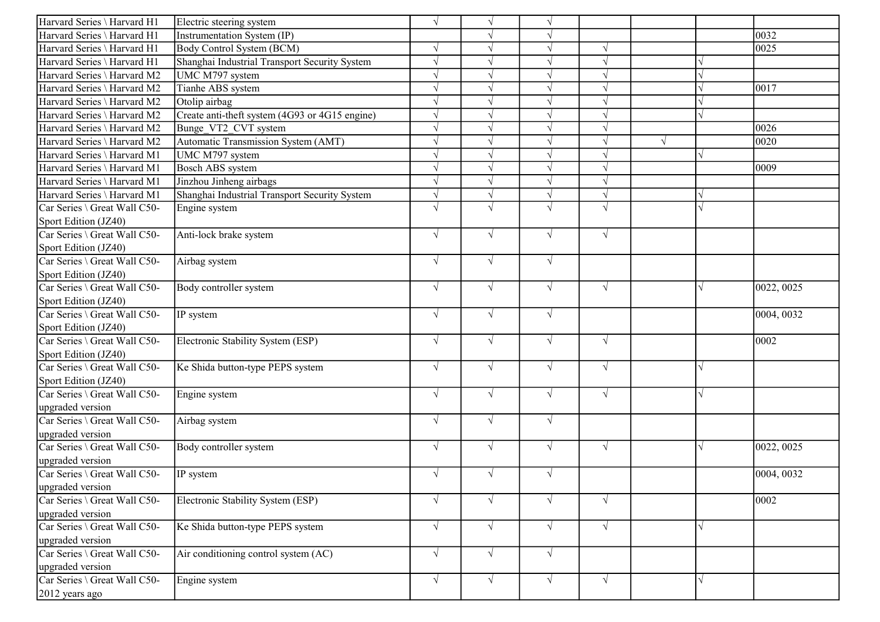| Harvard Series \ Harvard H1  | Electric steering system                       | $\sqrt{}$  | V          | $\sqrt{ }$    |            |           |            |
|------------------------------|------------------------------------------------|------------|------------|---------------|------------|-----------|------------|
| Harvard Series \ Harvard H1  | Instrumentation System (IP)                    |            | V          |               |            |           | 0032       |
| Harvard Series \ Harvard H1  | Body Control System (BCM)                      | $\sqrt{ }$ | $\sqrt{ }$ | $\sqrt{}$     |            |           | 0025       |
| Harvard Series \ Harvard H1  | Shanghai Industrial Transport Security System  | $\sqrt{ }$ | $\sqrt{}$  | V             |            |           |            |
| Harvard Series \ Harvard M2  | UMC M797 system                                | $\sqrt{ }$ | $\sqrt{}$  | $\sqrt{}$     |            |           |            |
| Harvard Series \ Harvard M2  | Tianhe ABS system                              | $\sqrt{ }$ | $\sqrt{ }$ | $\mathcal{L}$ |            |           | 0017       |
| Harvard Series \ Harvard M2  | Otolip airbag                                  | $\sqrt{ }$ | $\sqrt{}$  | $\sqrt{ }$    |            |           |            |
| Harvard Series \ Harvard M2  | Create anti-theft system (4G93 or 4G15 engine) | $\sqrt{ }$ | $\sqrt{}$  | $\sqrt{ }$    |            |           |            |
| Harvard Series \ Harvard M2  | Bunge VT2 CVT system                           | $\sqrt{ }$ | $\sqrt{}$  | $\sqrt{}$     |            |           | 0026       |
| Harvard Series \ Harvard M2  | Automatic Transmission System (AMT)            | $\sqrt{ }$ | $\sqrt{ }$ |               |            | $\sqrt{}$ | 0020       |
| Harvard Series \ Harvard M1  | UMC M797 system                                | $\sqrt{ }$ | $\sqrt{}$  | $\mathcal{L}$ |            |           |            |
| Harvard Series \ Harvard M1  | Bosch ABS system                               | $\sqrt{ }$ | $\sqrt{}$  | $\sqrt{ }$    |            |           | 0009       |
| Harvard Series \ Harvard M1  | Jinzhou Jinheng airbags                        | $\sqrt{}$  | $\sqrt{ }$ | $\sqrt{}$     |            |           |            |
| Harvard Series \ Harvard M1  | Shanghai Industrial Transport Security System  | $\sqrt{}$  | $\sqrt{}$  | $\sqrt{}$     |            |           |            |
| Car Series \ Great Wall C50- | Engine system                                  | $\sqrt{ }$ | $\sqrt{}$  | $\sqrt{ }$    |            |           |            |
| Sport Edition (JZ40)         |                                                |            |            |               |            |           |            |
| Car Series \ Great Wall C50- | Anti-lock brake system                         | $\sqrt{ }$ | $\sqrt{ }$ | $\sqrt{ }$    | $\sqrt{ }$ |           |            |
| Sport Edition (JZ40)         |                                                |            |            |               |            |           |            |
| Car Series \ Great Wall C50- | Airbag system                                  | $\sqrt{ }$ | $\sqrt{ }$ | $\sqrt{ }$    |            |           |            |
| Sport Edition (JZ40)         |                                                |            |            |               |            |           |            |
| Car Series \ Great Wall C50- | Body controller system                         | $\sqrt{ }$ | $\sqrt{ }$ | $\sqrt{ }$    | $\sqrt{ }$ |           | 0022, 0025 |
| Sport Edition (JZ40)         |                                                |            |            |               |            |           |            |
| Car Series \ Great Wall C50- | IP system                                      | $\sqrt{ }$ | $\sqrt{ }$ | $\sqrt{ }$    |            |           | 0004, 0032 |
| Sport Edition (JZ40)         |                                                |            |            |               |            |           |            |
| Car Series \ Great Wall C50- | Electronic Stability System (ESP)              | $\sqrt{ }$ | $\sqrt{ }$ | $\sqrt{ }$    | $\sqrt{ }$ |           | 0002       |
| Sport Edition (JZ40)         |                                                |            |            |               |            |           |            |
| Car Series \ Great Wall C50- | Ke Shida button-type PEPS system               | $\sqrt{ }$ | $\sqrt{ }$ | $\sqrt{ }$    | $\sqrt{ }$ |           |            |
| Sport Edition (JZ40)         |                                                |            |            |               |            |           |            |
| Car Series \ Great Wall C50- | Engine system                                  | $\sqrt{ }$ | $\sqrt{ }$ | $\sqrt{ }$    | $\sqrt{ }$ |           |            |
| upgraded version             |                                                |            |            |               |            |           |            |
| Car Series \ Great Wall C50- | Airbag system                                  | $\sqrt{ }$ | $\sqrt{ }$ | $\sqrt{ }$    |            |           |            |
| upgraded version             |                                                |            |            |               |            |           |            |
| Car Series \ Great Wall C50- | Body controller system                         | $\sqrt{ }$ | $\sqrt{ }$ | $\sqrt{ }$    | $\sqrt{ }$ |           | 0022, 0025 |
| upgraded version             |                                                |            |            |               |            |           |            |
| Car Series \ Great Wall C50- | IP system                                      | $\sqrt{ }$ | $\sqrt{ }$ | $\sqrt{ }$    |            |           | 0004, 0032 |
| upgraded version             |                                                |            |            |               |            |           |            |
| Car Series \ Great Wall C50- | Electronic Stability System (ESP)              | $\sqrt{ }$ | $\sqrt{ }$ | $\sqrt{ }$    | $\sqrt{ }$ |           | 0002       |
| upgraded version             |                                                |            |            |               |            |           |            |
| Car Series \ Great Wall C50- | Ke Shida button-type PEPS system               | $\sqrt{ }$ | $\sqrt{ }$ | $\sqrt{ }$    | $\sqrt{ }$ |           |            |
| upgraded version             |                                                |            |            |               |            |           |            |
| Car Series \ Great Wall C50- | Air conditioning control system (AC)           | $\sqrt{ }$ | $\sqrt{ }$ | $\sqrt{ }$    |            |           |            |
| upgraded version             |                                                |            |            |               |            |           |            |
| Car Series \ Great Wall C50- | Engine system                                  | $\sqrt{}$  | $\sqrt{ }$ | $\sqrt{ }$    | $\sqrt{ }$ |           |            |
| 2012 years ago               |                                                |            |            |               |            |           |            |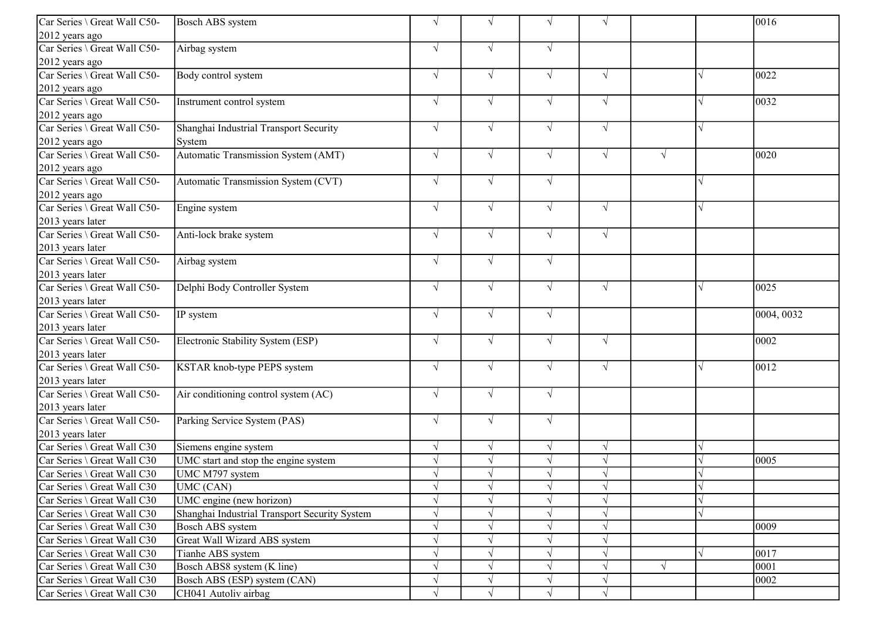| Car Series \ Great Wall C50- | <b>Bosch ABS</b> system                       | $\sqrt{ }$ | $\sqrt{ }$ | $\sqrt{ }$ | $\sqrt{ }$ |            |           | 0016       |
|------------------------------|-----------------------------------------------|------------|------------|------------|------------|------------|-----------|------------|
| 2012 years ago               |                                               |            |            |            |            |            |           |            |
| Car Series \ Great Wall C50- | Airbag system                                 | $\sqrt{ }$ | $\sqrt{ }$ | $\sqrt{ }$ |            |            |           |            |
| 2012 years ago               |                                               |            |            |            |            |            |           |            |
| Car Series \ Great Wall C50- | Body control system                           | $\sqrt{ }$ | $\sqrt{ }$ | $\sqrt{ }$ | $\sqrt{ }$ |            |           | 0022       |
| 2012 years ago               |                                               |            |            |            |            |            |           |            |
| Car Series \ Great Wall C50- | Instrument control system                     | $\sqrt{ }$ | $\sqrt{ }$ | $\sqrt{ }$ | $\sqrt{ }$ |            | $\sqrt{}$ | 0032       |
| 2012 years ago               |                                               |            |            |            |            |            |           |            |
| Car Series \ Great Wall C50- | Shanghai Industrial Transport Security        | $\sqrt{ }$ | $\sqrt{ }$ | $\sqrt{ }$ | $\sqrt{ }$ |            |           |            |
| 2012 years ago               | System                                        |            |            |            |            |            |           |            |
| Car Series \ Great Wall C50- | Automatic Transmission System (AMT)           | $\sqrt{ }$ | $\sqrt{ }$ | $\sqrt{ }$ | $\sqrt{ }$ | $\sqrt{ }$ |           | 0020       |
| 2012 years ago               |                                               |            |            |            |            |            |           |            |
| Car Series \ Great Wall C50- | Automatic Transmission System (CVT)           | $\sqrt{ }$ | $\sqrt{ }$ | $\sqrt{ }$ |            |            |           |            |
| 2012 years ago               |                                               |            |            |            |            |            |           |            |
| Car Series \ Great Wall C50- | Engine system                                 | $\sqrt{ }$ | $\sqrt{ }$ | $\sqrt{ }$ | $\sqrt{ }$ |            |           |            |
| 2013 years later             |                                               |            |            |            |            |            |           |            |
| Car Series \ Great Wall C50- | Anti-lock brake system                        | $\sqrt{}$  | $\sqrt{ }$ | $\sqrt{ }$ | $\sqrt{ }$ |            |           |            |
| 2013 years later             |                                               |            |            |            |            |            |           |            |
| Car Series \ Great Wall C50- | Airbag system                                 | $\sqrt{ }$ | $\sqrt{ }$ | $\sqrt{ }$ |            |            |           |            |
| 2013 years later             |                                               |            |            |            |            |            |           |            |
| Car Series \ Great Wall C50- | Delphi Body Controller System                 | $\sqrt{ }$ | $\sqrt{ }$ | $\sqrt{ }$ | $\sqrt{ }$ |            | V         | 0025       |
| 2013 years later             |                                               |            |            |            |            |            |           |            |
| Car Series \ Great Wall C50- | IP system                                     | $\sqrt{ }$ | $\sqrt{ }$ | $\sqrt{ }$ |            |            |           | 0004, 0032 |
| 2013 years later             |                                               |            |            |            |            |            |           |            |
| Car Series \ Great Wall C50- | Electronic Stability System (ESP)             | $\sqrt{ }$ | $\sqrt{ }$ | $\sqrt{ }$ | $\sqrt{ }$ |            |           | 0002       |
| 2013 years later             |                                               |            |            |            |            |            |           |            |
| Car Series \ Great Wall C50- | KSTAR knob-type PEPS system                   | $\sqrt{ }$ | $\sqrt{ }$ | $\sqrt{ }$ | $\sqrt{ }$ |            |           | 0012       |
| 2013 years later             |                                               |            |            |            |            |            |           |            |
| Car Series \ Great Wall C50- | Air conditioning control system (AC)          | $\sqrt{ }$ | $\sqrt{ }$ | $\sqrt{ }$ |            |            |           |            |
| 2013 years later             |                                               |            |            |            |            |            |           |            |
| Car Series \ Great Wall C50- | Parking Service System (PAS)                  | $\sqrt{ }$ | $\sqrt{ }$ | $\sqrt{ }$ |            |            |           |            |
| 2013 years later             |                                               |            |            |            |            |            |           |            |
| Car Series \ Great Wall C30  | Siemens engine system                         | $\sqrt{}$  | $\sqrt{ }$ | $\sqrt{ }$ | $\sqrt{ }$ |            |           |            |
| Car Series \ Great Wall C30  | UMC start and stop the engine system          | $\sqrt{}$  | $\sqrt{ }$ | $\sqrt{ }$ |            |            |           | 0005       |
| Car Series \ Great Wall C30  | UMC M797 system                               | $\sqrt{ }$ | $\sqrt{}$  | $\sqrt{ }$ |            |            |           |            |
| Car Series \ Great Wall C30  | UMC (CAN)                                     | $\sqrt{}$  | $\sqrt{ }$ | $\sqrt{ }$ | V          |            | ΙV        |            |
| Car Series \ Great Wall C30  | UMC engine (new horizon)                      | $\sqrt{}$  | $\sqrt{}$  | $\sqrt{ }$ | $\sqrt{ }$ |            |           |            |
| Car Series \ Great Wall C30  | Shanghai Industrial Transport Security System | $\sqrt{}$  | $\sqrt{}$  |            |            |            |           |            |
| Car Series \ Great Wall C30  | <b>Bosch ABS</b> system                       | $\sqrt{ }$ | V          |            |            |            |           | 0009       |
| Car Series \ Great Wall C30  | Great Wall Wizard ABS system                  | $\sqrt{ }$ | $\sqrt{}$  |            | V          |            |           |            |
| Car Series \ Great Wall C30  | Tianhe ABS system                             | $\sqrt{ }$ | $\sqrt{ }$ |            |            |            |           | 0017       |
| Car Series \ Great Wall C30  | Bosch ABS8 system (K line)                    | $\sqrt{}$  | $\sqrt{ }$ | $\sqrt{ }$ | $\sqrt{}$  | $\sqrt{}$  |           | 0001       |
| Car Series \ Great Wall C30  | Bosch ABS (ESP) system (CAN)                  | $\sqrt{}$  | $\sqrt{ }$ | $\sqrt{ }$ | V          |            |           | 0002       |
| Car Series \ Great Wall C30  | CH041 Autoliv airbag                          | $\sqrt{}$  | $\sqrt{ }$ | $\sqrt{ }$ |            |            |           |            |
|                              |                                               |            |            |            |            |            |           |            |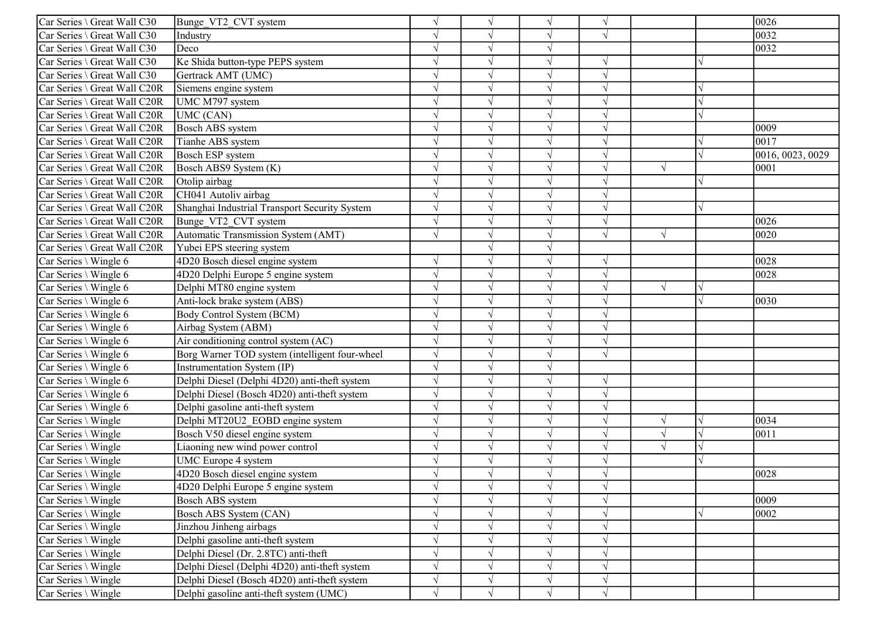| Car Series \ Great Wall C30     | Bunge VT2 CVT system                           |               | V          | N                 |            |            | 0026             |
|---------------------------------|------------------------------------------------|---------------|------------|-------------------|------------|------------|------------------|
| Car Series \ Great Wall C30     | Industry                                       | $\mathcal{N}$ | V          |                   |            |            | 0032             |
| Car Series \ Great Wall C30     | Deco                                           |               | $\sqrt{}$  | N                 |            |            | 0032             |
| Car Series \ Great Wall C30     | Ke Shida button-type PEPS system               | $\sqrt{}$     | V          | N                 |            |            |                  |
| Car Series \ Great Wall C30     | Gertrack AMT (UMC)                             | $\sqrt{ }$    | V          |                   |            |            |                  |
| Car Series \ Great Wall C20R    | Siemens engine system                          | $\mathcal{N}$ | $\sqrt{ }$ | N                 |            |            |                  |
| Car Series \ Great Wall C20R    | UMC M797 system                                | $\sqrt{ }$    | $\sqrt{ }$ | N                 |            |            |                  |
| Car Series \ Great Wall C20R    | UMC (CAN)                                      |               | $\sqrt{}$  |                   |            |            |                  |
| Car Series \ Great Wall C20R    | Bosch ABS system                               |               | $\sqrt{}$  | ٦                 |            |            | 0009             |
| Car Series \ Great Wall C20R    | Tianhe ABS system                              | V             | $\sqrt{}$  | N                 |            |            | 0017             |
| Car Series \ Great Wall C20R    | Bosch ESP system                               | $\sqrt{ }$    | $\sqrt{}$  | $\mathbf{\hat{}}$ |            |            | 0016, 0023, 0029 |
| Car Series \ Great Wall C20R    | Bosch ABS9 System (K)                          | $\sqrt{}$     | $\sqrt{}$  |                   |            | $\sqrt{ }$ | 0001             |
| Car Series \ Great Wall C20R    | Otolip airbag                                  | $\sqrt{ }$    | $\sqrt{}$  | N                 |            |            |                  |
| Car Series \ Great Wall C20R    | CH041 Autoliv airbag                           | $\sqrt{ }$    | $\sqrt{}$  | N                 |            |            |                  |
| Car Series \ Great Wall C20R    | Shanghai Industrial Transport Security System  | $\sqrt{}$     | $\sqrt{ }$ | N                 |            |            |                  |
| Car Series \ Great Wall C20R    | Bunge VT2 CVT system                           | $\sqrt{ }$    | $\sqrt{}$  | N                 |            |            | 0026             |
| Car Series \ Great Wall C20R    | Automatic Transmission System (AMT)            | $\sqrt{}$     | $\sqrt{}$  | $\gamma$          |            | V          | 0020             |
| Car Series \ Great Wall C20R    | Yubei EPS steering system                      |               | $\sqrt{}$  | N                 |            |            |                  |
| Car Series \ Wingle $6$         | 4D20 Bosch diesel engine system                | $\sqrt{ }$    | $\sqrt{}$  | N                 |            |            | 0028             |
| Car Series \ Wingle 6           | 4D20 Delphi Europe 5 engine system             | $\sqrt{}$     | $\sqrt{}$  |                   |            |            | 0028             |
| Car Series \ Wingle $6$         | Delphi MT80 engine system                      | $\sqrt{ }$    | $\sqrt{}$  | N                 |            | $\sqrt{ }$ |                  |
| Car Series \ Wingle 6           | Anti-lock brake system (ABS)                   | $\sqrt{ }$    | $\sqrt{}$  | N                 |            |            | 0030             |
| Car Series \ Wingle 6           | Body Control System (BCM)                      | $\sqrt{ }$    | $\sqrt{ }$ | N                 |            |            |                  |
| Car Series \ Wingle 6           | Airbag System (ABM)                            | $\sqrt{}$     | $\sqrt{}$  | N                 |            |            |                  |
| Car Series \ Wingle $6$         | Air conditioning control system (AC)           | $\sqrt{ }$    | $\sqrt{}$  |                   |            |            |                  |
| Car Series \ Wingle $6$         | Borg Warner TOD system (intelligent four-wheel |               | $\sqrt{}$  | ٦                 |            |            |                  |
| Car Series \ Wingle $6$         | Instrumentation System (IP)                    | $\sqrt{ }$    | √          | N                 |            |            |                  |
| Car Series \ Wingle $6$         | Delphi Diesel (Delphi 4D20) anti-theft system  | $\sqrt{ }$    | $\sqrt{}$  | N                 |            |            |                  |
| $Car Series \setminus Wingle 6$ | Delphi Diesel (Bosch 4D20) anti-theft system   | $\sqrt{}$     | $\sqrt{}$  | N                 |            |            |                  |
| $Car Series \setminus Wingle 6$ | Delphi gasoline anti-theft system              | V             | V          | ٦                 |            |            |                  |
| Car Series \ Wingle             | Delphi MT20U2 EOBD engine system               | $\sqrt{ }$    | $\sqrt{ }$ | N                 |            | V          | 0034             |
| Car Series \ Wingle             | Bosch V50 diesel engine system                 | $\sqrt{}$     | $\sqrt{ }$ | N                 |            | $\sqrt{}$  | 0011             |
| Car Series \ Wingle             | Liaoning new wind power control                |               | $\sqrt{}$  | N                 |            |            |                  |
| Car Series \ Wingle             | UMC Europe 4 system                            |               | V          | V                 |            |            |                  |
| Car Series \ Wingle             | 4D20 Bosch diesel engine system                | $\sqrt{ }$    | V          | N                 |            |            | 0028             |
| Car Series \ Wingle             | 4D20 Delphi Europe 5 engine system             | $\sqrt{ }$    | $\sqrt{ }$ | $\sqrt{ }$        | $\sqrt{ }$ |            |                  |
| Car Series \ Wingle             | Bosch ABS system                               |               | $\sqrt{}$  |                   |            |            | 0009             |
| Car Series \ Wingle             | Bosch ABS System (CAN)                         | $\sqrt{ }$    | V          |                   |            |            | 0002             |
| Car Series \ Wingle             | Jinzhou Jinheng airbags                        | $\sqrt{ }$    | $\sqrt{}$  |                   |            |            |                  |
| Car Series \ Wingle             | Delphi gasoline anti-theft system              | $\sqrt{}$     | $\sqrt{ }$ |                   |            |            |                  |
| Car Series \ Wingle             | Delphi Diesel (Dr. 2.8TC) anti-theft           |               | $\sqrt{}$  |                   |            |            |                  |
| Car Series \ Wingle             | Delphi Diesel (Delphi 4D20) anti-theft system  | $\sqrt{ }$    | $\sqrt{ }$ | $\sqrt{ }$        | V          |            |                  |
| Car Series \ Wingle             | Delphi Diesel (Bosch 4D20) anti-theft system   | V             | $\sqrt{}$  |                   |            |            |                  |
| Car Series \ Wingle             | Delphi gasoline anti-theft system (UMC)        | $\sqrt{ }$    | $\sqrt{}$  | $\sqrt{ }$        |            |            |                  |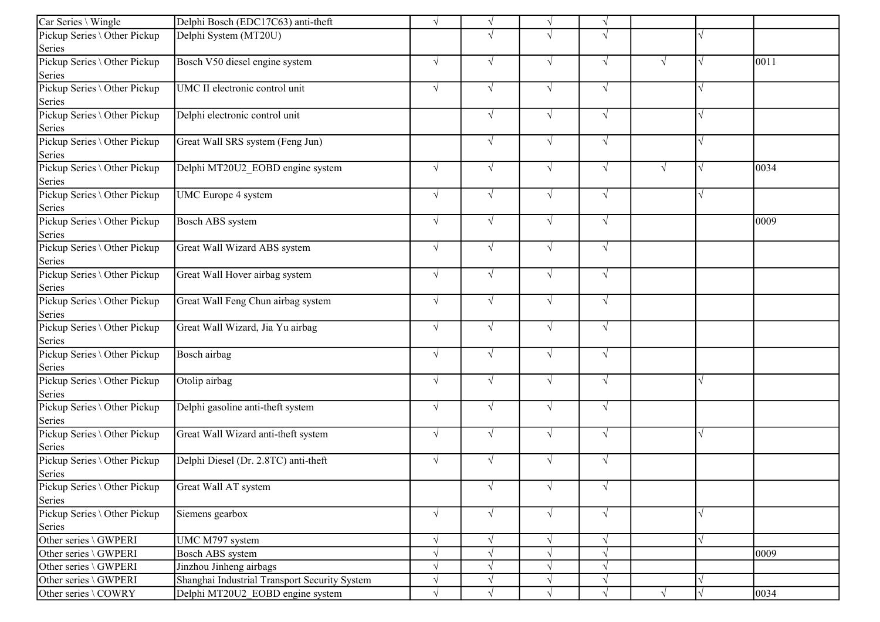| Car Series \ Wingle          | Delphi Bosch (EDC17C63) anti-theft            | $\sqrt{}$  | $\sqrt{ }$ | $\sqrt{ }$ |            |            |      |
|------------------------------|-----------------------------------------------|------------|------------|------------|------------|------------|------|
| Pickup Series \ Other Pickup | Delphi System (MT20U)                         |            | $\sqrt{ }$ | $\sqrt{ }$ |            |            |      |
| Series                       |                                               |            |            |            |            |            |      |
| Pickup Series \ Other Pickup | Bosch V50 diesel engine system                | $\sqrt{}$  | $\sqrt{ }$ | $\sqrt{ }$ | $\sqrt{ }$ | $\sqrt{ }$ | 0011 |
| Series                       |                                               |            |            |            |            |            |      |
| Pickup Series \ Other Pickup | UMC II electronic control unit                | $\sqrt{ }$ | $\sqrt{ }$ | $\sqrt{ }$ | $\sqrt{ }$ |            |      |
| Series                       |                                               |            |            |            |            |            |      |
| Pickup Series \ Other Pickup | Delphi electronic control unit                |            | $\sqrt{ }$ | $\sqrt{ }$ | $\sqrt{ }$ |            |      |
| Series                       |                                               |            |            |            |            |            |      |
| Pickup Series \ Other Pickup | Great Wall SRS system (Feng Jun)              |            | $\sqrt{ }$ | $\sqrt{ }$ | $\sqrt{ }$ |            |      |
| Series                       |                                               |            |            |            |            |            |      |
| Pickup Series \ Other Pickup | Delphi MT20U2_EOBD engine system              | $\sqrt{}$  | $\sqrt{ }$ | $\sqrt{ }$ | $\sqrt{ }$ | $\sqrt{ }$ | 0034 |
| Series                       |                                               |            |            |            |            |            |      |
| Pickup Series \ Other Pickup | <b>UMC</b> Europe 4 system                    | $\sqrt{ }$ | $\sqrt{ }$ | $\sqrt{ }$ | $\sqrt{ }$ |            |      |
| Series                       |                                               |            |            |            |            |            |      |
| Pickup Series \ Other Pickup | Bosch ABS system                              | $\sqrt{ }$ | $\sqrt{ }$ | $\sqrt{ }$ | $\sqrt{ }$ |            | 0009 |
| Series                       |                                               |            |            |            |            |            |      |
| Pickup Series \ Other Pickup | Great Wall Wizard ABS system                  | $\sqrt{}$  | $\sqrt{ }$ | $\sqrt{ }$ | $\sqrt{ }$ |            |      |
| Series                       |                                               |            |            |            |            |            |      |
| Pickup Series \ Other Pickup | Great Wall Hover airbag system                | $\sqrt{}$  | $\sqrt{ }$ | $\sqrt{ }$ | $\sqrt{ }$ |            |      |
| Series                       |                                               |            |            |            |            |            |      |
| Pickup Series \ Other Pickup | Great Wall Feng Chun airbag system            | $\sqrt{}$  | $\sqrt{ }$ | $\sqrt{ }$ | $\sqrt{ }$ |            |      |
| Series                       |                                               |            |            |            |            |            |      |
| Pickup Series \ Other Pickup | Great Wall Wizard, Jia Yu airbag              | $\sqrt{}$  | $\sqrt{ }$ | $\sqrt{ }$ | $\sqrt{ }$ |            |      |
| Series                       |                                               |            |            |            |            |            |      |
| Pickup Series \ Other Pickup | Bosch airbag                                  | $\sqrt{}$  | $\sqrt{ }$ | $\sqrt{ }$ | $\sqrt{ }$ |            |      |
| Series                       |                                               |            |            |            |            |            |      |
| Pickup Series \ Other Pickup | Otolip airbag                                 | $\sqrt{}$  | $\sqrt{ }$ | $\sqrt{ }$ | $\sqrt{ }$ |            |      |
| Series                       |                                               |            |            |            |            |            |      |
| Pickup Series \ Other Pickup | Delphi gasoline anti-theft system             | $\sqrt{ }$ | $\sqrt{ }$ | $\sqrt{ }$ | $\sqrt{ }$ |            |      |
| Series                       |                                               |            |            |            |            |            |      |
| Pickup Series \ Other Pickup | Great Wall Wizard anti-theft system           | $\sqrt{}$  | $\sqrt{ }$ | $\sqrt{ }$ | $\sqrt{ }$ |            |      |
| Series                       |                                               |            |            |            |            |            |      |
| Pickup Series \ Other Pickup | Delphi Diesel (Dr. 2.8TC) anti-theft          | $\sqrt{}$  | $\sqrt{}$  | $\sqrt{ }$ | $\sqrt{ }$ |            |      |
| Series                       |                                               |            |            |            |            |            |      |
| Pickup Series \ Other Pickup | Great Wall AT system                          |            | $\sqrt{ }$ | $\sqrt{ }$ | $\sqrt{ }$ |            |      |
| Series                       |                                               |            |            |            |            |            |      |
| Pickup Series \ Other Pickup | Siemens gearbox                               | $\sqrt{ }$ | $\sqrt{ }$ | $\sqrt{ }$ | $\sqrt{ }$ |            |      |
| Series                       |                                               |            |            |            |            |            |      |
| Other series \ GWPERI        | UMC M797 system                               | $\sqrt{ }$ | $\sqrt{}$  | $\sqrt{ }$ | $\sqrt{ }$ |            |      |
| Other series \ GWPERI        | Bosch ABS system                              |            | $\sqrt{ }$ |            |            |            | 0009 |
| Other series \ GWPERI        | Jinzhou Jinheng airbags                       |            | $\sqrt{}$  |            |            |            |      |
| Other series \ GWPERI        | Shanghai Industrial Transport Security System |            | $\sqrt{}$  | $\sqrt{}$  |            |            |      |
| Other series \ COWRY         | Delphi MT20U2 EOBD engine system              | V          | $\sqrt{ }$ | $\sqrt{ }$ |            | $\sqrt{ }$ | 0034 |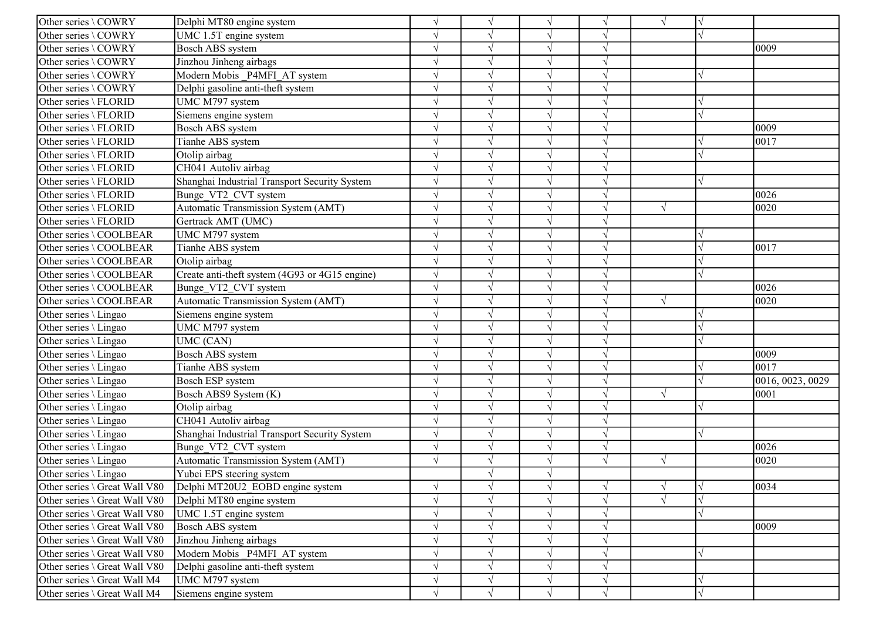| Other series \ COWRY          | Delphi MT80 engine system                      |               |            |   |   | $\sqrt{}$  |             |                  |
|-------------------------------|------------------------------------------------|---------------|------------|---|---|------------|-------------|------------------|
| Other series \COWRY           | UMC 1.5T engine system                         |               |            |   |   |            |             |                  |
| Other series \ COWRY          | Bosch ABS system                               | V             |            |   |   |            |             | 0009             |
| Other series \COWRY           | Jinzhou Jinheng airbags                        | N             |            |   |   |            |             |                  |
| Other series \ COWRY          | Modern Mobis P4MFI AT system                   |               |            |   |   |            |             |                  |
| Other series \COWRY           | Delphi gasoline anti-theft system              | V             |            |   |   |            |             |                  |
| Other series \ FLORID         | UMC M797 system                                | $\sqrt{ }$    | $\sqrt{ }$ |   |   |            |             |                  |
| Other series \ FLORID         | Siemens engine system                          | $\sqrt{ }$    | $\sqrt{ }$ |   |   |            |             |                  |
| Other series \ FLORID         | Bosch ABS system                               |               |            |   |   |            |             | 0009             |
| Other series \ FLORID         | Tianhe ABS system                              | $\mathcal{L}$ |            |   |   |            |             | 0017             |
| Other series \ FLORID         | Otolip airbag                                  | V             |            |   |   |            |             |                  |
| Other series \ FLORID         | CH041 Autoliv airbag                           | $\sqrt{}$     | $\sqrt{ }$ |   |   |            |             |                  |
| Other series \ FLORID         | Shanghai Industrial Transport Security System  | $\sqrt{ }$    | $\sqrt{ }$ |   |   |            |             |                  |
| Other series \ FLORID         | Bunge VT2 CVT system                           | V             |            |   |   |            |             | 0026             |
| Other series \ FLORID         | Automatic Transmission System (AMT)            | $\sqrt{ }$    | $\sqrt{ }$ |   |   | $\sqrt{ }$ |             | 0020             |
| Other series \ FLORID         | Gertrack AMT (UMC)                             | $\sqrt{ }$    | $\sqrt{ }$ |   |   |            |             |                  |
| Other series \COOLBEAR        | UMC M797 system                                | $\sqrt{ }$    | $\sqrt{ }$ |   | V |            |             |                  |
| Other series \COOLBEAR        | Tianhe ABS system                              | $\sqrt{ }$    |            |   |   |            |             | 0017             |
| Other series \COOLBEAR        | Otolip airbag                                  | $\sqrt{ }$    |            |   |   |            |             |                  |
| Other series \COOLBEAR        | Create anti-theft system (4G93 or 4G15 engine) | $\sqrt{ }$    |            |   |   |            |             |                  |
| Other series \COOLBEAR        | Bunge VT2 CVT system                           | $\sqrt{ }$    | $\sqrt{ }$ |   |   |            |             | 0026             |
| Other series \COOLBEAR        | Automatic Transmission System (AMT)            | $\sqrt{}$     | $\sqrt{ }$ |   |   | $\sqrt{ }$ |             | 0020             |
| Other series \ Lingao         | Siemens engine system                          | $\sqrt{ }$    | $\sqrt{ }$ |   |   |            |             |                  |
| Other series \ Lingao         | UMC M797 system                                | $\sqrt{ }$    | $\sqrt{ }$ |   |   |            |             |                  |
| Other series \ Lingao         | UMC (CAN)                                      | V             | $\sqrt{ }$ |   |   |            |             |                  |
| Other series \ Lingao         | Bosch ABS system                               |               |            |   |   |            |             | 0009             |
| Other series \ Lingao         | Tianhe ABS system                              | $\mathcal{L}$ |            |   |   |            |             | 0017             |
| Other series \ Lingao         | Bosch ESP system                               | V             |            |   |   |            |             | 0016, 0023, 0029 |
| Other series \ Lingao         | Bosch ABS9 System (K)                          | N             | $\sqrt{ }$ |   |   | $\sqrt{ }$ |             | 0001             |
| Other series \ Lingao         | Otolip airbag                                  | V             |            |   |   |            |             |                  |
| Other series \ Lingao         | CH041 Autoliv airbag                           | N             | $\sqrt{}$  |   |   |            |             |                  |
| Other series \ Lingao         | Shanghai Industrial Transport Security System  | $\sqrt{ }$    | $\sqrt{ }$ |   |   |            |             |                  |
| Other series \ Lingao         | Bunge_VT2_CVT system                           | $\sqrt{ }$    | $\sqrt{}$  |   | V |            |             | 0026             |
| Other series \ Lingao         | Automatic Transmission System (AMT)            | $\sqrt{ }$    |            |   | V |            |             | 0020             |
| Other series \ Lingao         | Yubei EPS steering system                      |               |            |   |   |            |             |                  |
| Other series \ Great Wall V80 | Delphi MT20U2 EOBD engine system               | $\sqrt{ }$    | $\sqrt{ }$ | V | V | $\sqrt{ }$ | $\mathsf N$ | 0034             |
| Other series \ Great Wall V80 | Delphi MT80 engine system                      | V             |            |   |   | $\sqrt{ }$ |             |                  |
| Other series \ Great Wall V80 | UMC 1.5T engine system                         |               |            |   |   |            |             |                  |
| Other series \ Great Wall V80 | <b>Bosch ABS</b> system                        |               |            |   |   |            |             | 0009             |
| Other series \ Great Wall V80 | Jinzhou Jinheng airbags                        | V             |            |   |   |            |             |                  |
| Other series \ Great Wall V80 | Modern Mobis P4MFI AT system                   | V             |            |   |   |            |             |                  |
| Other series \ Great Wall V80 | Delphi gasoline anti-theft system              |               |            |   |   |            |             |                  |
| Other series \ Great Wall M4  | UMC M797 system                                | V             | $\sqrt{}$  |   |   |            |             |                  |
| Other series \ Great Wall M4  | Siemens engine system                          | V             | $\sqrt{}$  |   | V |            |             |                  |